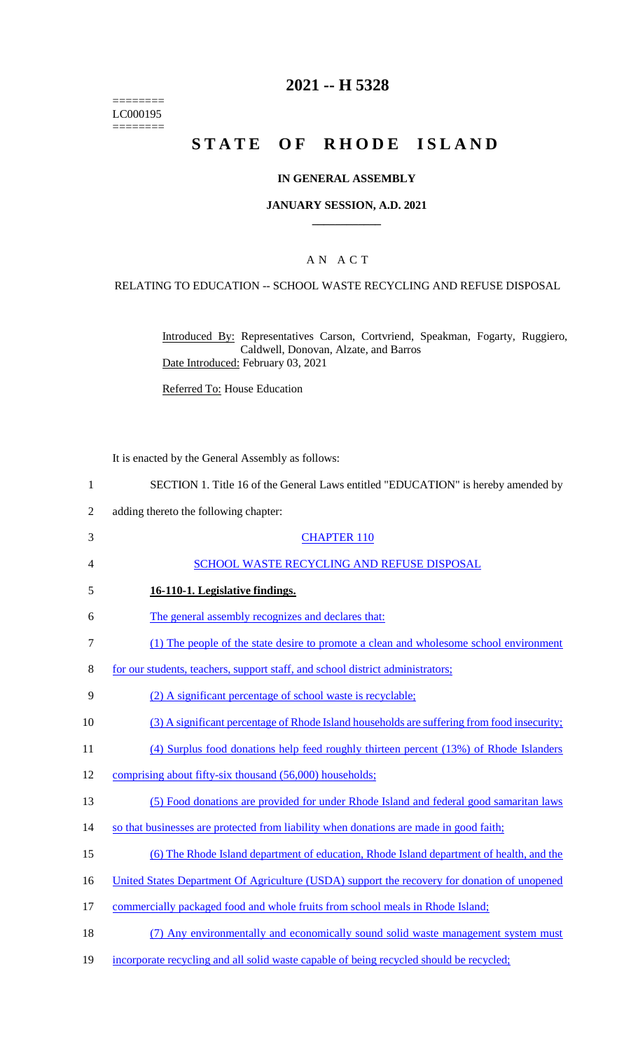======== LC000195  $=$ 

# **2021 -- H 5328**

# **STATE OF RHODE ISLAND**

## **IN GENERAL ASSEMBLY**

#### **JANUARY SESSION, A.D. 2021 \_\_\_\_\_\_\_\_\_\_\_\_**

## A N A C T

### RELATING TO EDUCATION -- SCHOOL WASTE RECYCLING AND REFUSE DISPOSAL

Introduced By: Representatives Carson, Cortvriend, Speakman, Fogarty, Ruggiero, Caldwell, Donovan, Alzate, and Barros Date Introduced: February 03, 2021

Referred To: House Education

It is enacted by the General Assembly as follows:

- 1 SECTION 1. Title 16 of the General Laws entitled "EDUCATION" is hereby amended by
- 2 adding thereto the following chapter:

| 3      | <b>CHAPTER 110</b>                                                                           |
|--------|----------------------------------------------------------------------------------------------|
| 4      | SCHOOL WASTE RECYCLING AND REFUSE DISPOSAL                                                   |
| 5      | 16-110-1. Legislative findings.                                                              |
| 6      | The general assembly recognizes and declares that:                                           |
| $\tau$ | (1) The people of the state desire to promote a clean and wholesome school environment       |
| 8      | for our students, teachers, support staff, and school district administrators;               |
| 9      | (2) A significant percentage of school waste is recyclable;                                  |
| 10     | (3) A significant percentage of Rhode Island households are suffering from food insecurity;  |
| 11     | (4) Surplus food donations help feed roughly thirteen percent (13%) of Rhode Islanders       |
| 12     | comprising about fifty-six thousand (56,000) households;                                     |
| 13     | (5) Food donations are provided for under Rhode Island and federal good samaritan laws       |
| 14     | so that businesses are protected from liability when donations are made in good faith;       |
| 15     | (6) The Rhode Island department of education, Rhode Island department of health, and the     |
| 16     | United States Department Of Agriculture (USDA) support the recovery for donation of unopened |
| 17     | commercially packaged food and whole fruits from school meals in Rhode Island;               |
| 18     | (7) Any environmentally and economically sound solid waste management system must            |
| 19     | incorporate recycling and all solid waste capable of being recycled should be recycled;      |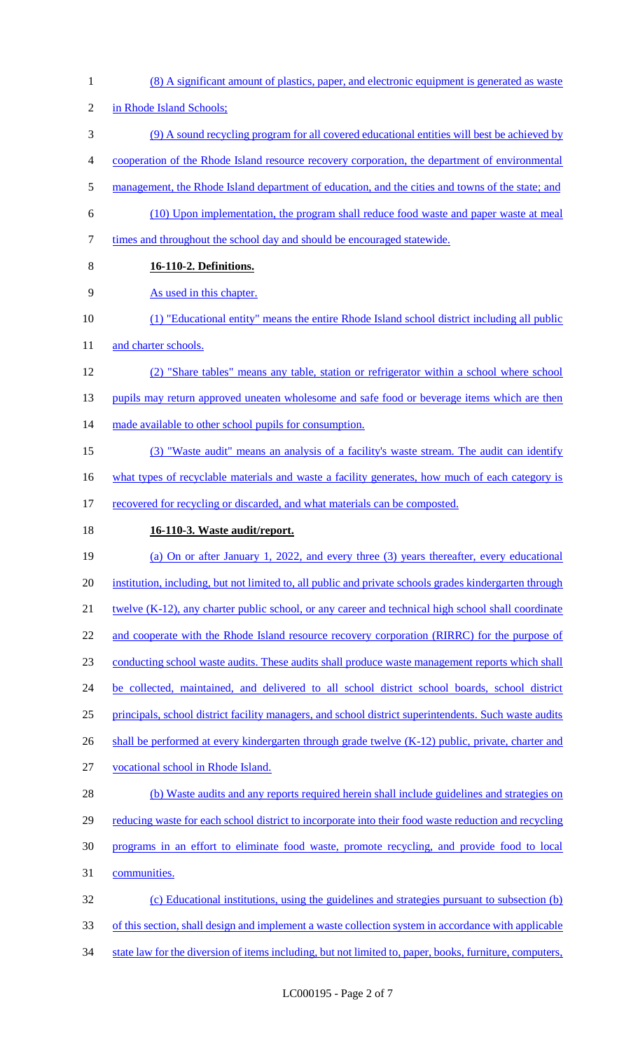2 in Rhode Island Schools; (9) A sound recycling program for all covered educational entities will best be achieved by cooperation of the Rhode Island resource recovery corporation, the department of environmental 5 management, the Rhode Island department of education, and the cities and towns of the state; and (10) Upon implementation, the program shall reduce food waste and paper waste at meal times and throughout the school day and should be encouraged statewide. **16-110-2. Definitions.**  As used in this chapter. (1) "Educational entity" means the entire Rhode Island school district including all public 11 and charter schools. (2) "Share tables" means any table, station or refrigerator within a school where school 13 pupils may return approved uneaten wholesome and safe food or beverage items which are then 14 made available to other school pupils for consumption. (3) "Waste audit" means an analysis of a facility's waste stream. The audit can identify 16 what types of recyclable materials and waste a facility generates, how much of each category is 17 recovered for recycling or discarded, and what materials can be composted. **16-110-3. Waste audit/report.**  (a) On or after January 1, 2022, and every three (3) years thereafter, every educational institution, including, but not limited to, all public and private schools grades kindergarten through 21 twelve (K-12), any charter public school, or any career and technical high school shall coordinate 22 and cooperate with the Rhode Island resource recovery corporation (RIRRC) for the purpose of conducting school waste audits. These audits shall produce waste management reports which shall 24 be collected, maintained, and delivered to all school district school boards, school district principals, school district facility managers, and school district superintendents. Such waste audits 26 shall be performed at every kindergarten through grade twelve (K-12) public, private, charter and vocational school in Rhode Island. (b) Waste audits and any reports required herein shall include guidelines and strategies on 29 reducing waste for each school district to incorporate into their food waste reduction and recycling programs in an effort to eliminate food waste, promote recycling, and provide food to local communities. (c) Educational institutions, using the guidelines and strategies pursuant to subsection (b) of this section, shall design and implement a waste collection system in accordance with applicable

1 (8) A significant amount of plastics, paper, and electronic equipment is generated as waste

34 state law for the diversion of items including, but not limited to, paper, books, furniture, computers,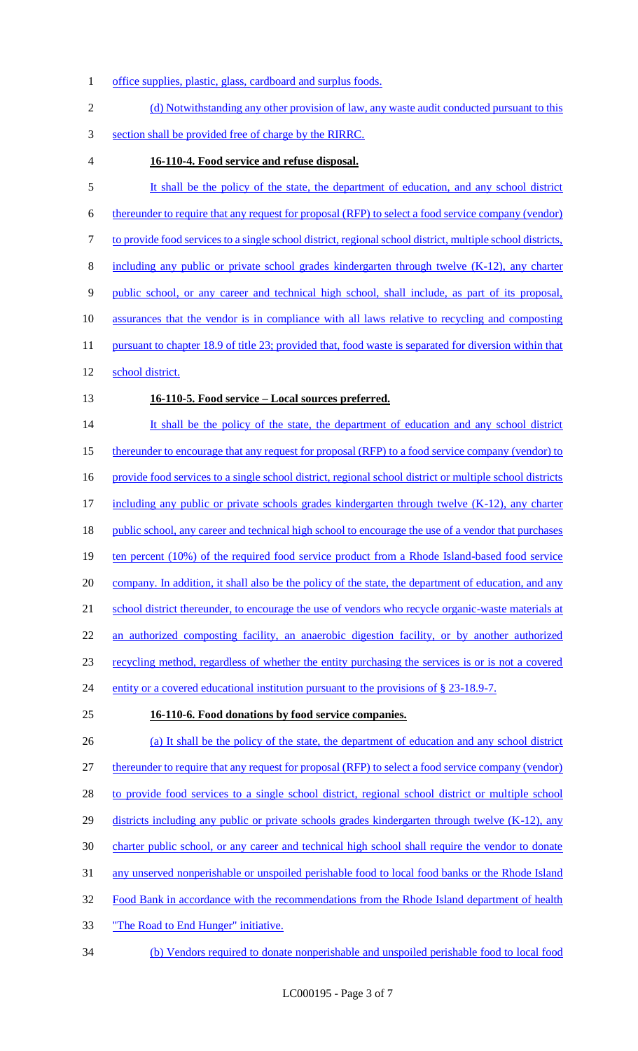- 1 office supplies, plastic, glass, cardboard and surplus foods.
- 2 (d) Notwithstanding any other provision of law, any waste audit conducted pursuant to this 3 section shall be provided free of charge by the RIRRC. 4 **16-110-4. Food service and refuse disposal.**  5 It shall be the policy of the state, the department of education, and any school district 6 thereunder to require that any request for proposal (RFP) to select a food service company (vendor) 7 to provide food services to a single school district, regional school district, multiple school districts, 8 including any public or private school grades kindergarten through twelve (K-12), any charter 9 public school, or any career and technical high school, shall include, as part of its proposal, 10 assurances that the vendor is in compliance with all laws relative to recycling and composting 11 pursuant to chapter 18.9 of title 23; provided that, food waste is separated for diversion within that 12 school district. 13 **16-110-5. Food service – Local sources preferred.**  14 It shall be the policy of the state, the department of education and any school district 15 thereunder to encourage that any request for proposal (RFP) to a food service company (vendor) to 16 provide food services to a single school district, regional school district or multiple school districts 17 including any public or private schools grades kindergarten through twelve (K-12), any charter 18 public school, any career and technical high school to encourage the use of a vendor that purchases 19 ten percent (10%) of the required food service product from a Rhode Island-based food service 20 company. In addition, it shall also be the policy of the state, the department of education, and any 21 school district thereunder, to encourage the use of vendors who recycle organic-waste materials at 22 an authorized composting facility, an anaerobic digestion facility, or by another authorized 23 recycling method, regardless of whether the entity purchasing the services is or is not a covered 24 entity or a covered educational institution pursuant to the provisions of § 23-18.9-7. 25 **16-110-6. Food donations by food service companies.**  26 (a) It shall be the policy of the state, the department of education and any school district 27 thereunder to require that any request for proposal (RFP) to select a food service company (vendor) 28 to provide food services to a single school district, regional school district or multiple school 29 districts including any public or private schools grades kindergarten through twelve (K-12), any 30 charter public school, or any career and technical high school shall require the vendor to donate 31 any unserved nonperishable or unspoiled perishable food to local food banks or the Rhode Island 32 Food Bank in accordance with the recommendations from the Rhode Island department of health
- 33 The Road to End Hunger" initiative.
- 34 (b) Vendors required to donate nonperishable and unspoiled perishable food to local food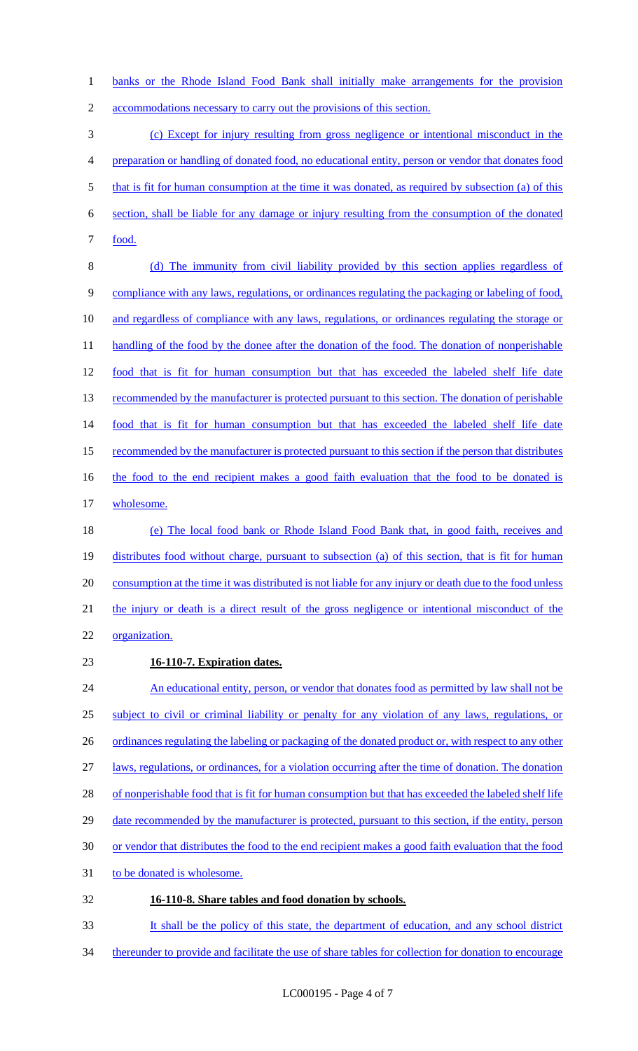1 banks or the Rhode Island Food Bank shall initially make arrangements for the provision

2 accommodations necessary to carry out the provisions of this section.

3 (c) Except for injury resulting from gross negligence or intentional misconduct in the 4 preparation or handling of donated food, no educational entity, person or vendor that donates food 5 that is fit for human consumption at the time it was donated, as required by subsection (a) of this 6 section, shall be liable for any damage or injury resulting from the consumption of the donated 7 <u>food.</u>

8 (d) The immunity from civil liability provided by this section applies regardless of 9 compliance with any laws, regulations, or ordinances regulating the packaging or labeling of food, 10 and regardless of compliance with any laws, regulations, or ordinances regulating the storage or 11 handling of the food by the donee after the donation of the food. The donation of nonperishable 12 food that is fit for human consumption but that has exceeded the labeled shelf life date 13 recommended by the manufacturer is protected pursuant to this section. The donation of perishable 14 food that is fit for human consumption but that has exceeded the labeled shelf life date 15 recommended by the manufacturer is protected pursuant to this section if the person that distributes 16 the food to the end recipient makes a good faith evaluation that the food to be donated is 17 wholesome.

- 18 (e) The local food bank or Rhode Island Food Bank that, in good faith, receives and 19 distributes food without charge, pursuant to subsection (a) of this section, that is fit for human 20 consumption at the time it was distributed is not liable for any injury or death due to the food unless 21 the injury or death is a direct result of the gross negligence or intentional misconduct of the 22 organization.
- 

## 23 **16-110-7. Expiration dates.**

24 An educational entity, person, or vendor that donates food as permitted by law shall not be 25 subject to civil or criminal liability or penalty for any violation of any laws, regulations, or 26 ordinances regulating the labeling or packaging of the donated product or, with respect to any other 27 laws, regulations, or ordinances, for a violation occurring after the time of donation. The donation 28 of nonperishable food that is fit for human consumption but that has exceeded the labeled shelf life 29 date recommended by the manufacturer is protected, pursuant to this section, if the entity, person 30 or vendor that distributes the food to the end recipient makes a good faith evaluation that the food 31 to be donated is wholesome. 32 **16-110-8. Share tables and food donation by schools.** 

33 It shall be the policy of this state, the department of education, and any school district

34 thereunder to provide and facilitate the use of share tables for collection for donation to encourage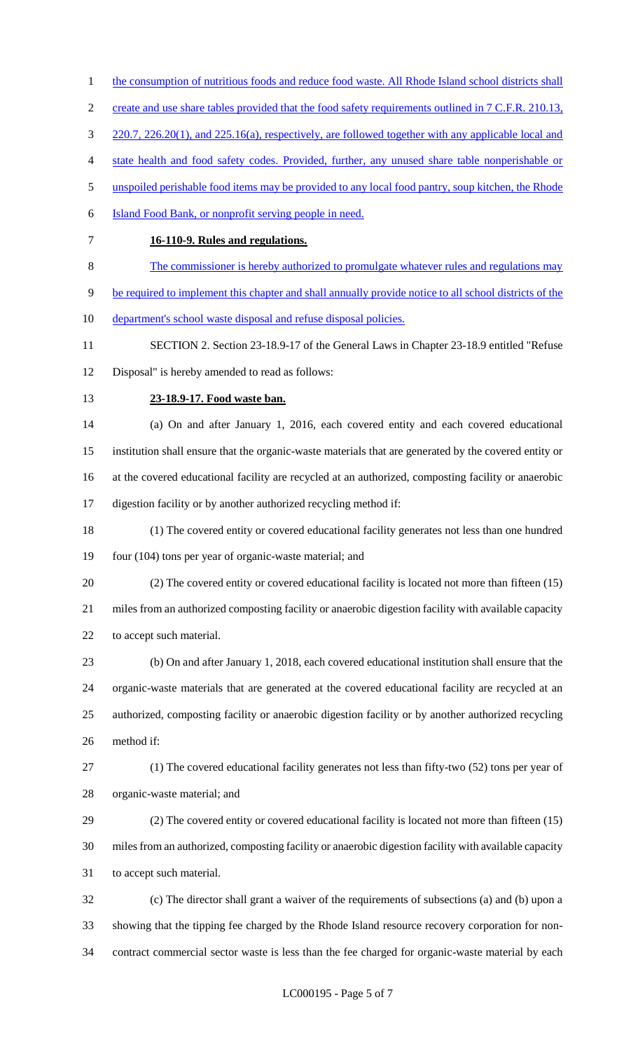- 1 the consumption of nutritious foods and reduce food waste. All Rhode Island school districts shall
- 2 create and use share tables provided that the food safety requirements outlined in 7 C.F.R. 210.13,
- 3 220.7, 226.20(1), and 225.16(a), respectively, are followed together with any applicable local and
- state health and food safety codes. Provided, further, any unused share table nonperishable or
- 5 unspoiled perishable food items may be provided to any local food pantry, soup kitchen, the Rhode
- Island Food Bank, or nonprofit serving people in need.
- 

## **16-110-9. Rules and regulations.**

- The commissioner is hereby authorized to promulgate whatever rules and regulations may
- be required to implement this chapter and shall annually provide notice to all school districts of the
- 10 department's school waste disposal and refuse disposal policies.
- SECTION 2. Section 23-18.9-17 of the General Laws in Chapter 23-18.9 entitled "Refuse
- Disposal" is hereby amended to read as follows:
- 

#### **23-18.9-17. Food waste ban.**

 (a) On and after January 1, 2016, each covered entity and each covered educational institution shall ensure that the organic-waste materials that are generated by the covered entity or at the covered educational facility are recycled at an authorized, composting facility or anaerobic digestion facility or by another authorized recycling method if:

- (1) The covered entity or covered educational facility generates not less than one hundred four (104) tons per year of organic-waste material; and
- (2) The covered entity or covered educational facility is located not more than fifteen (15) miles from an authorized composting facility or anaerobic digestion facility with available capacity to accept such material.
- (b) On and after January 1, 2018, each covered educational institution shall ensure that the organic-waste materials that are generated at the covered educational facility are recycled at an authorized, composting facility or anaerobic digestion facility or by another authorized recycling method if:
- 

 (1) The covered educational facility generates not less than fifty-two (52) tons per year of organic-waste material; and

 (2) The covered entity or covered educational facility is located not more than fifteen (15) miles from an authorized, composting facility or anaerobic digestion facility with available capacity to accept such material.

 (c) The director shall grant a waiver of the requirements of subsections (a) and (b) upon a showing that the tipping fee charged by the Rhode Island resource recovery corporation for non-contract commercial sector waste is less than the fee charged for organic-waste material by each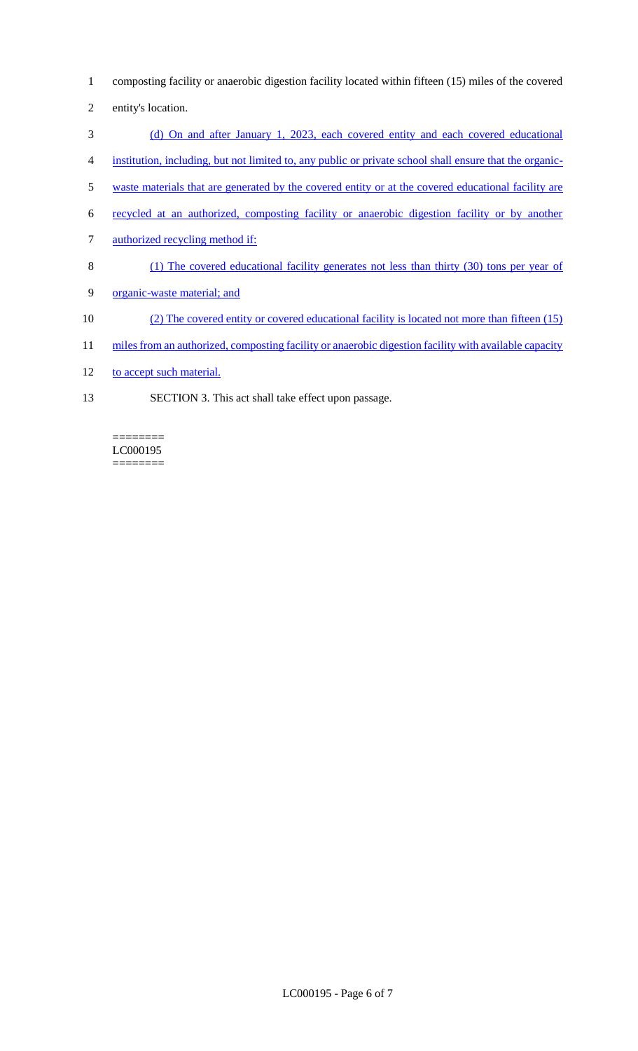- 1 composting facility or anaerobic digestion facility located within fifteen (15) miles of the covered
- 2 entity's location.
- 3 (d) On and after January 1, 2023, each covered entity and each covered educational
- 4 institution, including, but not limited to, any public or private school shall ensure that the organic-
- 5 waste materials that are generated by the covered entity or at the covered educational facility are
- 6 recycled at an authorized, composting facility or anaerobic digestion facility or by another
- 7 authorized recycling method if:
- 8 (1) The covered educational facility generates not less than thirty (30) tons per year of
- 9 organic-waste material; and
- 10 (2) The covered entity or covered educational facility is located not more than fifteen (15)
- 11 miles from an authorized, composting facility or anaerobic digestion facility with available capacity
- 12 to accept such material.

 $=$ 

13 SECTION 3. This act shall take effect upon passage.

#### LC000195  $=$